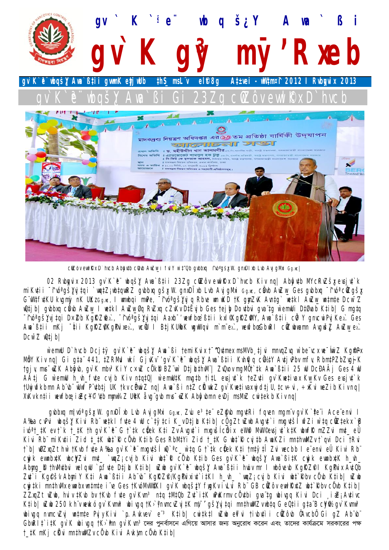

cûZôv ewl Kx D`hvcb Abgytb clavb AwZw\_i fvl Y w`t"Qb gybbxg ~tvo\*gšx W. gnxDl xb Lvb Avj gMxi Gg.wc|

02 Rubgvix 2013 gv`K`e¨ ubgšy Awa`ßții 23Zg cüZôv ewlkx D`hvcb Kiv ng| Abĝutb MYcRuZšy evsjut`k mi Kuții ~îvớgšhy tại `watZiwbtawRZ gybbua gšx W. gnxDlxb Lyb AvigMxi Gawc, cầnb AwZw Ges gybbua ~îvớ cữZgšx G'W#f#KU kvgmjy nK UKzGg.wc, I wnwbqi mwPe, -tvo'gšNyj q Rbve wn wKD tK gmyZvK Avntg` wetkl AwZw\_wntmte Dcw-2 wQtjb| gwbbxg cåwb AwZw\_l wetkl AwZw\_Øg RvZxg cZvKv DtËvjb Ges tejby Dovtbvi gva tg w`emwUi DtØvab Ktib| G mgtg -tvó gš) ji tgi D×Zb KgRZle), -tvó gš) ji tgi Aaxb v vevfbo sti i kyl KgRZMY, Ava sti i ců<sup>3</sup>Y gnycvi Pyj Ke). Ges Ama`ßții mKj ~#ii KgRZ@KgPvixex`, wcÜ I BțiKUibK wgwVgvi m`m~ex`, wewfbœGbuRl ciZwbwamn AvgušZ AwZw ex`.  $D C W^- Z$   $D1 D1 D$ 

w`emwU D`hvcb Dcj‡ÿ gv`K`è" wbqš}{ Awa`ßi †emiKvix †~^Qu‡mex msMVb tjvi mnvqZvq w`be"vcx we~wiz KgmtPx MỗY Kiv ng| Gi gṭa¨441, ṭZRM**ul** wkí GjvKv~'gv`K`è¨ wbqšĮY Awa`ßṭii Kvhijq cŴ½tY AuṭjvPbv mfv, RbmṭPZbZvgj-K tgjv, mus~wZK Abĝub, gv`K mbv<sup>3</sup>KiYc×wZ cÖk® BZ¨w` D‡j*LthwN¨| ZvQvov mgMÖt`tk Ava`ßtii 25* wU DcĐAÂj Ges 4 wU A‡j G w`emwU h\_wh\_fide cvjb Kiv ntqtQ| w`emwUtK migtb titL eisjut`k teZuti gv`Kwetivax Kw\_Kv Ges eisjut`k tUwjwfkbmn Abïwj wUwf Pï¢bțj UK tkv cihwiZ ng| Awa`ßi nțZ ciKwkZ qv`KwețivaxwjdțjU, țcv÷vi, ÷xKvi weZib Kivng| XvKvkntii wewfbœiæCł<sup>oc</sup>ytbmmw34ZU#Kåvg~qvbmvs~wZKAbĝvbmnevDjmsMxZcwitekbKivng|

gybbyg mivó gšy W. gnyDl yb Lyb AvigMxi Gawc, Zyu e<sup>3</sup>te eZgyb mgytRi fgyen mgm y gy`K`te i Ace envi l A‰a cưPvi wbqšįł Kivi Rb wetkl fite 4 wU c`tytci K\_v Dtjl Ktib| cigZt wZwb Avgut`i mugutši wfZi w`tq cülZtekx `B ivó‡ ‡K ev †`k † ‡K †h qv`K`è¨G †`‡k c∛ek K‡i Zv Avqu‡`i mxqvšíchix eWi9 MwV©evsju‡`k‡K wbwfÑ mZZvi mu‡\_eÜ Kivi Rb" miKuții Zid ț țK wbț`R cüvb Kțib Ges RbMțYi Zid † țK G wbț`R cvițb AwaKZi mnțhvwMZv ț`qvi Dci țRvi t`b| w0ZxqZt hw`tKvb fvte A‰a qv`K`e mxqvtšli wQ`ªc\_w`tq Gt`tk cilek Kti tmtytÎ Zvi wecbb I e envi eÜ Kivi Rb cujk evunbutK ubcyZvi mut\_`wqZj cvjb Kivi ubt`& cůvb Ktib Ges gv`K`e ubqšy Awa`BitK cujk ewnbutK h\_vh\_ Abmg ® thiMitbii welgwU `p.f.ite Dțil Kțib| wZwb gy`K`e wbgš) Awa`Bții hiuu mr I wbôievb KgRZPl KgPiix AitQb Zdî i Kgêši Abmiy Kti Awa Btii Ab b KgRZP/KgPuinin itKl h\_vh\_ `wqZi cvjb Kivi wbt Rbv cü ub Ktib| wZwb cwitki mnthulu ewnbrwntmte i e Ges †KvóllvW¥KI gr`K wbqštY figKv ivLvi Rb" GB ciZôv ewlƘdz wbt`Rbv cüvb Ktib| ZZxqZt wZwb, hviv tKwb bv tKwb fute gv`Kwn<sup>3</sup> ntq tMtQb Zut`itK wPwKrmv cÖutbi gva"tg wbivgq Kivi Dci iwZjAutivc Ktib| wZwb 250 kh'v wewkó gy`Kwnw<sup>3</sup> wbivgg tK>'YnwncvZvj‡K my<sup>-</sup>'gš,Yvj‡gi mnthwMZvwbtg GeQtii gta'BcYf% gy`Kwnw<sup>3</sup> wbivgq numcvZvj wntmte PvjyKivi `p.Avkvev` e¨<sup>3</sup> Ktib| cwitktl wZwb en`vi tivbutìi ciZôvb ûAvcbũ Gi qZ Abïvb¨ GbwRI titK gr K wbi wgq tK> mn gr Kwn 3 দের পুনর্বাসনে এগিয়ে আসার জন্য অনুরোধ করেন এবং তাদের কার্যক্রমে সরকারের পক্ষ † ‡K mKj c $\ddot{K}$ vi mn‡hwMZv c $\ddot{U}$ vb Kivi Avk¦m c $\ddot{U}$ vb K‡ib|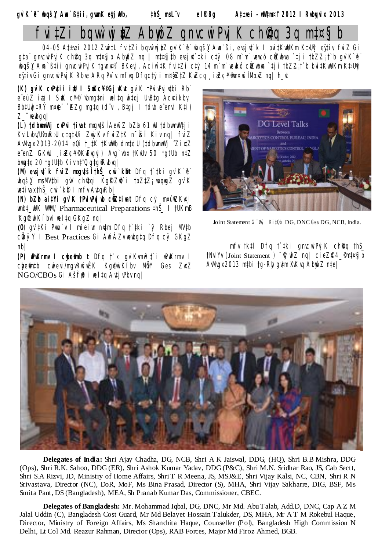$eI$   $8g$  Attie i - ull  $4m \times 12012$  I Rubguix 2013 gv`K`è doqšy Ana`߇ii, gumK etjuUb, ‡hŠ\_msL¨v

# $f$ vi‡Zi bqw`wj $tZ$  Abn $\hat{p}Z$  gnvcwi Pvj K ch∯g 3g m‡¤ $\hat{y}$  b

04-05 At±wei 2012 ZwitL fvitZi bqvw`wj#Z gv`K`è wbqš} Awa`ßi, ersjut`k I bvitKwUKm KtJUj eytiv, fviZ Gi qta" qnvcwiPviK ch@q 3q mt¤gib AbwoZ nq | mt¤gitb evsint`tki cty 08 m`m" wewkó cŴZwbwa `tii tbZZit`b qv`K`e" wbqš}ŽAwa`߇ii gnvcwiPyjKtgvnr¤§ BKeyj, Aciw`tK̃ fvitZi ctÿ 14 m`m¨wewkó cWZwbwa `tji tbZZjt`b bvitKwUKm̃ Kt>Uij eyiv Gi qnvcwiPviK Rbve ARq Pv`v, mfvq Dfqctvi m¤@ZtZ KwZcq \_iaZc¥®m×všĺMnuZ nq| h vt

(K) gv K clPutii i& I SulcY<sup>c</sup>Gj Wkut gv K tPvivPvj utbi Rb" e eüZ iaU I SuK c¥<sup>©-</sup>ybmg‡ni weltą witąj UwBtą Acutikbyj Bb#Uwj#RÝ m¤¢e `ZZq mqtq (d'v, Btqj I tdwb e envi K#i)  $Z$  "newbgg/

(L) tdbumulli cuPvi tivat mxqvtší Aew<sup>-</sup>Z bZb 61 uU tdbumullti i KviLvbv/UibwRyU ctgtyUi ZwiKv fviZtK n~Všli Kiv ng| fviZ Awwgx 2013-2014 eQi t\_tK tKwWb dmtdU (tdbwnwWj ~ZixtZ e enZ. GKW iaZc¥©KwDwgvi) Awg`vbx tKwUv 50 tatUb ntZ bwgta 20 tatUtb Kivnt"Q ataRybyal

(M) ewsjut k fviZ mugutšíthŠ cui k®t Dfg t`tki gv K`e" wbqšį msMV‡bi gw ch@qi KgRZ@`i †bZ‡Z; wbqwqZ gv`K  $\mathbb{R}$ tivax thš cwi $\kappa$  $\mathbb{R}$  I mfv Autqu $R$ bl

(N) bZb aitYi gv`K tPwiPwjub cüZtivat Dfq cy m¤úiZKutj umbt\_uUK WMV/Pharmaceutical Preparations thš\_ I tUKmB 'Kg°cwi Kíbvi welta GKaZ nal

 $(0)$  qv'tKi Pwn'v I miei m nutm Dfq t'tki `v Rbei MVtb cikýY I Best Practices Gi AwfÁZv wewbgtg Dfg cý GKgZ  $nb/$ 

(P) **PKrmv I chemb t** Dfg t`k qv`Kmw<sup>3</sup>t`i wPwKrmv I chefintb cwievi/mgvRwfwEK Kg@wiKibv MbY Ges ZutZ NGO/CBOs Gi Ašff<sup>e</sup>i relta Arti rPbr nal



Joint Statement G Wil Kit 0b DG, DNC Ges DG, NCB, India.

mfv tktl Dfg t tki gnvcwiPvj K chąg thš TNvl Yv (Joint Statement) Vivil Z ng | cieZP4\_mt¤§j b Awway 2013 mtbi ta-Rig qutm XvK vq Abmo Z ntel



Delegates of India: Shri Ajay Chadha, DG, NCB, Shri A K Jaiswal, DDG, (HQ), Shri B.B Mishra, DDG (Ops), Shri R.K. Sahoo, DDG (ER), Shri Ashok Kumar Yadav, DDG (P&C), Shri M.N. Sridhar Rao, JS, Cab Sectt, Shri S.A Rizvi, JD, Ministry of Home Affairs, Shri T R Meena, JS, MSJ&E, Shri Vijay Kalsi, NC, CBN, Shri R N Srivastava, Director (NC), DoR, MoF, Ms Bina Prasad, Director (S), MHA, Shri Vijay Sakharre, DIG, BSF, Ms Smita Pant, DS (Bangladesh), MEA, Sh Pranab Kumar Das, Commissioner, CBEC.

Delegates of Bangladesh: Mr. Mohammad Iqbal, DG, DNC, Mr Md. Abu Talab, Add.D, DNC, Cap AZM Jalal Uddin (C), Bangladesh Cost Guard, Mr Md Belayet Hossain Talukder, DS, MHA, Mr AT M Rokebul Haque, Director, Ministry of Foreign Affairs, Ms Shanchita Haque, Counseller (Pol), Bangladesh High Commission N Delhi, Lt Col Md. Reazur Rahman, Director (Ops), RAB Forces, Major Md Firoz Ahmed, BGB.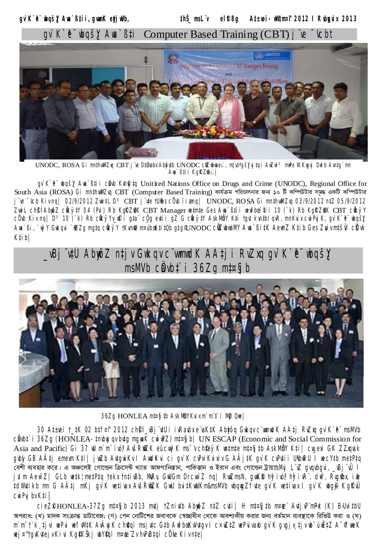gv`K`ê wbqš¥ Awa`߇ii, gwmK etjwUb, thŠ msL v el<sub>®</sub>8a Attuei- Witm¤f 2012 I Rubawix 2013  $qv K^e$  who significant in the Computer Based Training (CBT) i Ϊſe Wc.ht



UNODC, ROSA Gi mnthwMZrq CBT j ve DtØvabr Abontb UNODC cůZubrae :, mnj o'gškvi tqi Arzui<sup>3</sup> mrPe W. Krgri Drib Avntq`mn Ama`B‡ii KgRZfei..!

 $q\psi$  K' e" ubg SY Aua' Bti i cubb Kuhff to Unitited Nations Office on Drugs and Crime (UNODC), Regional Office for South Asia (ROSA) Gi mnthwMZvq CBT (Computer Based Training) কাৰ্যক্ৰম পরিচালনার জন্য ১০ টি কম্পিউটার সমর একটি কম্পিউটার j ve "vcb Kivnq| 02/9/2012 ZwitL D<sup>3</sup> CBT j vte tUibs cÜvb ii ang| UNODC, ROSA Gi mnthwMZvq 03/9/2012 ntZ 05/9/2012 Zwil ch§ Abmo Z cùk ytY 04 (Pu) Rb KoRZAK CBT Manager wntmte Ges Ama`Bti i wewfboe ti i 10 (`k) Rb KoRZAK CBT cûk yY cüvb Kiv ng| D3 10 (`k) Rb dik yYv\_n®i qta cüq evtii qZ G dik ytY AskMbY Kti tqvt kvntbl qvR, mnKvix cwiPyjK, qv`K`e wbqšY Ana`Bi, `nÿY Gukqvi `#ZZq mqtq cûkÿY †KvmîU m¤úbaK‡i tQb qtq°UNODC cÛZubwaMY Ana`Bi‡K AewnZ K‡ib Ges Zuiv m‡šl1 cKvk  $K<sub>i</sub>$ <sub>i</sub> $b$ <sup> $\vert$ </sup>



36Zg HONLEA mt¤§ tb AskMbYKvix m`m`t`i Mğ Que|

30 At±rei † tK 02 btf¤t 2012 ch�� rBj ï¢Ûi irRarbx eïsKtK Abtjôg Gikgr cïrmidK AÂtj RvZrg gr`K`eï msMVb cåvbt`i 36Zg (HONLEA-tnubuj qu butg mguaK cui uPZ) mt¤fj b/ UN ESCAP (Economic and Social Commission for Asia and Pacific) Gi 37 Ill m'm" ivó? AvšRfiZK eûcwyk ms 'v chfeyk wntmte mt¤gjtb AskMåY Kti | cw.exi GK ZZygysk gwby GB AÂtj emewn Kti| jwZb AwtgwiKv I AwckKvi ci gv`K cwPviKvixiv G AÂjtK gv`K cwPutii UibwRU I wecYtb metPtq বেশী ব্যবহার করে। এ অঞ্চলেই গোল্ডেন ক্রিসেন্ট খ্যাত আফগানিস্তান, পাকিস্তান ও ইরান এবং গোল্ডেন ট্রায়াাs *Mij LïZ qiqibqii, Bjï0 l* julm Aew~Z| GLb wetk¦metPtg tekx tntivBb, MwRv, GwUGm DrcwrZ ng| RwZmsN, gwKfb hgivo; hgivR", dwY, Rvgfbx, iak tdWntikb mn G AÂtj mKj gr`K wetirar AršRfiZK GwU britKwUKm&msMVb wbqwgZfrte gr`K wetirar I gr`K wbg® KgRrÛ  $C$ wi Pvj bv K‡i  $\vert$ 

cieZPHONLEA-37Zq mt¤§jb 2013 mutj †Zniutb AbyôZ ntZ cuti| H mt¤§jtb m¤¢e AutjuP mPut (K) B>UvitbU অপরাধ; (খ) মাদক সংক্রান্ত ডাটাবেজ; (গ) পেন নোটিশের জবাবকে স্বেচ্ছাধীন থেকে আবশ্যকীয় করার জন্য বর্তমান ব্যবস্থাকে রিভিউ করা ও (ঘ) m`m^t`k, tivi wePvi wefWltK AvÂwjK ch@qi msjdc Gtb AwfbaKvVdqv I c×wZtZ wePvivaxb qv`K qvqjv,tjvwb~úwËtZ A~rfweK wej¤^tgwKutejvKivi KąfKŠkį wbYfgi m¤@~Zv hwPwBtgi cūwe Kivnteļ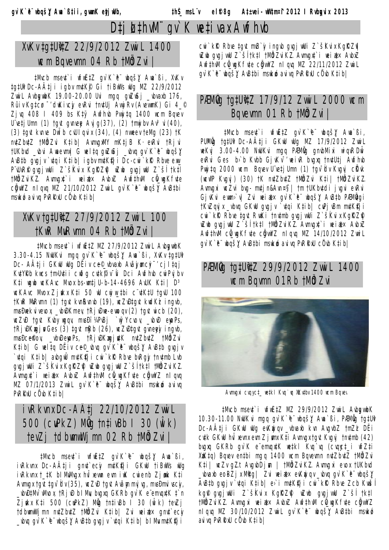# $D \ddagger i \mathbf{k}$ thw $M$  qv  $K$  weti vax Awfhvb

### XvKv tatUitZ 22/9/2012 Zvwi L 1400 **ICH Bavevmn 04 Rb tM&Zvi** |

#Mvcb msert`i wfwËtZ gv`K`è wbqšį Awa`ßi, XvKv tgtUł Dc-AÂtji igbr m¢Kๆ Gi tiBwVs wUg MZ 22/9/2012 ŽwiL AvbgwbK 19.00-20.00 Uvi mqq gwZwSj \_wbvaxb 176, Rûiv Kg‡cø<sup>-</sup>duKivcjy evRvi † nu‡Uj Avwj Rv (AvevumK) Gi 4\_<sup>©</sup> Zj vq 408 I 409 bs Kty Awfhub Pvwjtq 1400 wcm Bqvev U'vetj Umn (1) tgvt gvnveg Avj g(37), (2) tmwj bv Av<sup>3</sup>vi (40), (3) tant kinie Dirib ciulouri (34), (4) nileer tella (23) tK n¢Zb¢Z †MådZvi K‡ib| AwnugwMY mK‡jB K· evRvi †Rjvi tUKbrd \_rbri Amaemnal G melta quZuSj \_rbra qv`K`è nbašy AvBtb qvgjv `vtgi Ktib| igbv mutK\fi Dc-cwi `k\R Rbve ewy P'iUIRP qiqi viUi Z`šKiix KgRZP iZib qiqi viU Z`ši tktl tMUZuiKZ. Awnugut i weiat x AwbuZ Awfthwl cu wqKfute cğwYZ nlgyg MZ 21/10/2012 ZwiL gy`K`è wbgšy AwBtbi mswkó avivg PvRRxU cůvb Ktibl

#### XvKv tatU#1Z 27/9/2012 Zvwi L 100 tKwR MuRvmn 04 Rb tMÖJZvi |

#Mvcb msert`i wfijË#Z MZ 27/9/2012 Zvwi L AvbgwbK 3.30-4.15 NWLKvi mgg qv`K`e wbqš, Awa`Bi, XvKv tgtUt Dc- A‡ji GKW Wg DËiv ce© vbvaxb Avãymcy~ cj Itgj KutYRb kwcs tm>Uutii cwðg cutk©iv~Wi Dci Awfhub cwiPvjbv K#i wgwb wcKAvc Mvox bs-wm#jU-b-14-4696 AWK K#i| D<sup>3</sup> WCKAVC MVOX Ziwkx K‡i 50 WU cwiw tbi c #KtU tqvU 100 tKuR MuRwnn (1) tgvt kvnRvnvb (19), vcZvĐtgvt kvdKż ingvb, musĐuekvivevox, \_ubuĐKmev, tRj uĐue-ewoqv (2) tgvt wicb (20), ICZWD tgit Kibyigqi, misĐi'¼PvBj `inÿYcvov, \_vbvĐ enpPs, tRj DKwgjv Ges (3) tgvt mRb (26), wcZwDtgvt gynewy ingvb, musĐceftov, \_vbuĐempPs, tRjuĐKmgjntK nutZbutZ tMÖdZvi Ktib| G weltą DËiv ce©\_wbwq gv`K`e wbqš} AwBtb gwgjv `utgi Ktib| aubguÛ mutKiji cui`kk Rbue buRgjy tnutmb Lub gvgj wUi Z`šKvix KgRZP| wZwb gvgj wU Z`šítk‡l tMålZviKZ. Amngxt`i weiat x AnbxZ Anfthml cü\_mgKfite cüyniYZ nl qvg MZ 07/1/2013 Zvwil qv`K`è wbqš) AvBtbi mswkó avivq PVRRNU CŮ vb Ktibl

### ivRkvnx Dc-A‡j 22/10/2012 ZvwiL 500 (cuPkZ) Mg tntivBb 1 30 (wl k) tevZi tdbwmwWimn 02 Rb tM&Zvi |

#Mucb mseut`i wfijEtZ gv`K`e" ubgšį Awa`ßi, ivRkvnx Dc-AÂtji gnd`ecy mdKfji GKW tiBWS Wg ivRkvnx t\_tK blMdMvgx hvîxevm evm iwK cwienb Zjøwk Kti Armugx tart tar blv (35), rcZvD tart Avam mvj va, mysDmvi vsciy, \_wbwD#Mv`wMvox, tRjwD blMyJbvgxq GKRb gv`K e"emvopdtK t`n Zjukx Kti 500 (cuPkZ) Mûg tntivBb I 30 (wîk) tevZj tdbwmwllimn nutZbutZ tNWdZvi Ktibl Zvi weiatx qnutecy \_wbwq gv`K`'e wbqš}Y AwBtb gwgjv `wtqi Ktib| blMumwtK!?ji

cwi`kR`Rbve tavt mvB`iy ingvb qvgj wUi Z`šKvix KgRZi| wZwb qvgjvwU Z`šitktl tM&IZviKZ.Avmygyt`i weiat× AvbyZ Awfthwl cü wqKfite cüywYZ nl quq MZ 22/11/2012 ZwiL qv`K`è¨ wbqš)! AvB‡bi mswkoó avivq PvRRxU cڼ vb K‡ib|

#### PÆMÖG tG‡U·Z 17/9/12 Zwi L 2000 ICM Bqvevmn 01 Rb tMaZvi |

#Mucb mseut`i wfuˇZ qu`K`e wbqš} Awa`ßi, PUMËQ tatUi Dc-AÂtii GKW WQ MZ 17/9/2012 ZwiL weKvj 3.00-4.00 NwUKvi mgg PAMOg gnubMixi wiquRDwi evRvi Ges b>b Kvbb GjvKv<sup>-,</sup> weivR bvgxq tnutUtj Awfhvb Pwijtg 2000 wcm Bquev U'vetj Umn (1) tgv dv Kvgvj cikvk (ICII'P KVqvj) (30) tK nvtZbvtZ tMblZvi Kti | tMblZviKZ. Ammqxi mcZvi brq-mtin&Am¤f | tm tUKbrtdi jrqvi evRvi GjvKvi ewm>`v| Zvi weiat x qv`K`e wbgšy AvBtb PAM@tqi †KvZqvjx\_vbvq GKwU qvqjv `vtqi Ktib| cwQjvBm mutK#ji CIII` KR Rbie tait RuiKi tnitmb qiqi villi Z`šKii x KgRZP wZwb qvgjwU Z`šÍtk‡l tM®lZviKZ.Avmvgxt`i weiat× AvbxZ Awfthwl cù wqKfute caywYZ nlquq MZ 14/10/2012 ZwiL qv`K`è" ıbgš) AvBtbi msıkıó avivg PvRRxU cü vb Ktibl

### PÆMÖQ tatUitZ 29/9/2012 Zvwi L 1400 **ICM BQVMN 01Rb tMCZVi**



Avmygxi cvqyct\_wetkl Kvq`vq XKvtbv 1400 wcm Bqvev

#Mucb mseut`i wfwE#Z MZ 29/9/2012 ZwiL AubgrubK 10.30-11.00 NWKvi mgg qv`K`e wbgš} Awa`Bi, PAMÖg tgtUt Dc-AÂtji GKW Wg evKwiqv \_vbraxb kvn AvqvbZ tmZż DEi cutk GKW hui xevnx ewn Zjmnx Kti Awnugx tgut Kugvj tnutmb (42) bigig GKRb qi`K e emigitK wetkl Kig`ig (ciggt i wfZti XuKtg) Bayev entbi mag 1400 wcm Bayewnn nutZbutZ tMüdZvi Kti | wcZv gZt AvgvbDj m | tM&IZvi KZ. Avmygxi evox tUKbvd \_ubvaxb eoBZjx Mitg| Zvi weiat× evKwjqv\_ubvq gv`K`e"wbqš} AvBtb qvgjv`vtgi Ktibl e`i mutK#ji cwi`k@Rbve Zcb Kwšl kgP grgjwUi Z`šKrix KgRZP| wZwb grgjrwU Z`šl tktl tMUZviKZ. Avmygxi weiat x AvbxZ Awfthwn cu wqKfute cuywYZ nlqvq MZ 30/10/2012 Zwil qv`K`e ubqš} AvBtbi msukó avivg PvRRxU c0 vb Ktibl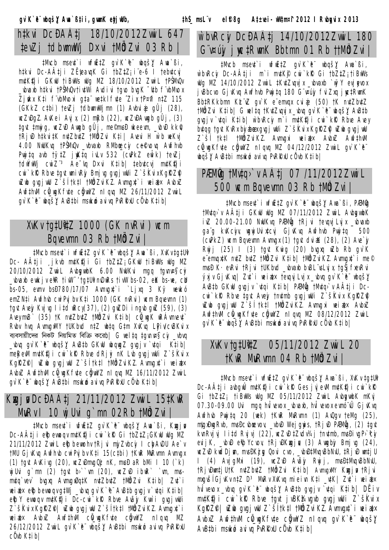tevZj tdbwmwWj Dxvi tM&Zvi 03 Rb |

#Mucb mseut`i wfijetz qv`K`e wbqš} Awa`ßi, htkvi Dc-AÂtji ZËJeavqK Gi tbZtZ; i e-6 l tebutcvj m¢K‡ji GKwU †iBwWs wUg MZ 18/10/2012 ZwiL †PŠMwOr vbraxb htkvi †PŠMQr†ivtWi Ardivi †gro brgK ~utb f`vbMrox Zjukx K‡i fvbMvoxi g‡a wetklfote Zix tP¤fi n‡Z 115 (GKkZ ctbi) tevZj tdbwmwWjmn (1) Avbviaj gÛj (28), WCZWDgZ.AWKei Avj x, (2) mRb (22), WCZWDAWIGb gÛj, (3) tart tmwjq, wcZwD Awrab qÛj, me©mwsĐ wkeewm, \_wbwD kk $\widehat{r}$ , †Rj wĐ h‡kvi‡K nv‡Zbv‡Z †M&JZvi K‡i| Avevi H w`b weKvj 4.00 NuUKvg tPŠMvQv \_vbvaxb RMbre\_cy ce&vovg Awfhvb Pwjtq avb tytZ jwKtq ivLv 532 (cuBkZ ewÎk) tevZi tdwythyj cwiZ <sup>3</sup> Ae yq Dxvi Ktib| tebutcvj mutKiji cwi`kk Rbve tgvt wnivRjy Bmj vg gvgj vuUi Z`šKvix KglZfl wZwb qvqiwU Z`šÍtk‡l tMålZviKZ.Amnvqut`i weiat× AvbuZ Awfthwy cũ waKfite cằwyZ nl ava MZ 26/11/2012 ZvwiL qv`K`è" ıbgš)! AvB‡bi msıkıó avivq PvRRxU cü vb K‡ib|

#### XvKv tg#U##Z 1000 (GK nvRvi) wcm Bavevmn 03 Rb tMÖdZvi |

#Mvcb msert`i wfijËtZ qv`K`e"wbqš)/ Awa`ßi, XvKv tgtUi Dc– AÂṭji ¸jkvb m¢K¶ji Gi †bZṭZ¡GKwU †iBwWs wUg MZ 20/10/2012 ZwiL AvbgwbK 6.00 NuUKvi mgg tgynyas cy \_wbvaxb ewkjveXR tiwV~tg‡UinvDwRs tivW bs-02, eK bs-we, cW\_ bs-05, eimi bsD780/17/07 Aimigit'i `Ljiq 3 Ky weikó emZN‡i Awfhwb cwiPvj bv K‡i 1000 (GK nvRvi) wcm Bqvewnn (1) tgit Aiejy Kijig I i‡d iRcy(37), (2) giiZDi ingib giiZ (59), (3) AveymvB` (35) †K nvtZbutZ †MålZvi K‡ib| cü\_ugK wRÁwnveut Rubi hig AimigiMY tUKbid ntZ ibtq Gtm XiKig Ligiv/ciBKvix ব্যবসায়ীদের নিকট নিয়মিত বিক্রি করেb/ G welta tamv¤s ci \_vbva \_wbwq gv`K`è wbqš}Y AwB‡b GKwU wbqwgZ gwgjv `wtqi Ktib| meRevM mutK!) i cwi`kR Rbve dRj y nK Lub gvgjvuUi Z`šKvix KgRZP | wZwb qugjwU Z`šÍtk‡I tMålZviKZ.Awnugut`i weiatx AvbxZ Awfthwl co\_wgKfite cowyZ nl qvq MZ 16/11/2012 ZvwiL qv`K`e" ubqš) AvBtbi msuko avivg PvRRuU cü ub Ktibl

### Kugj v DcĐA‡j 21/11/2012 Zvwi L 15‡KwR Murv I 10 mj Uvi g`mn 02Rb tMÖJZvi |

#Mucb msent`i wfijEtZ qu`K`e" wbqš} Awa`ßi, Kwgjv Dc-AÂtj i eibevwoqv mutKij i cwi `kR` Gi tbZtZ; GKwU wUq MZ 21/11/2012 Zwil eibbewoh tRj vi mj/Zvbcj I chyAvDU Ae`v tMU Gj vKvq Awfhvb cwiPvj bv Kti 15(ctbi) tKwR MuRvmn Awnvqx (1) tgit Aiking (20), inc Zudmig Op nK, mis  $\theta$  a R bMi 1 10 (`k) wj Uvig`mn (2) tgvt b>``wn (20), wcZwD ibwR``wn, mvsmutg`vev` buguq Awnugu0qtK nutZbutZ tMbJZvi Ktib| Zut`i  $\mathbb{R}$ iat $\times$  eit $\mathbb{R}$ bevuogv g $\sharp \mathbb{W}$ j \_wbrg gv`K`te AvB $\sharp$ b grgjv`r $\sharp$ gi K $\sharp$ ibl eibY evroqv mutKiji Dc-cri`kR Rbve Avajy Kw`i qvgjvrUi Z`šKvix KgRZP| uZub gvgj vuU Z`šĺtk‡l tMůlZvi KZ.Avmygxt`i weiat x AwbxZ Awfthwl cũ wqKfite cũywYZ nlgwg MZ 26/12/2012 Zwil gi'K'e wbqš, AvBtbi msukó avivq PvRRxU  $c\ell$ <sub>v</sub> $b$  K<sub> $\ell$ ib</sub> $\ell$ 

## w`bvRciy DcĐAA‡j 14/10/2012Zvwi L 180 G v¤újy j wc‡RwnK Bbtmn 01 Rb †tMÖdZvi |

#Mucb msert`i wfwˇZ qv`K`è" wbqš}/ Awa`ßi, w`bvRcy Dc-A‡ji m`im¢K¶ cwi`kƘ Gi†bZ‡Z;†iBwWs wUg MZ 14/10/2012 ZwiL #K#Zwgvjx wbvaxb `wÿY evjஞvox j vBbcvo Gj vKvg Awfhvb Pwj tg 180 G v¤újy fvi Zxg j wctRwnK Bb‡RKkbmn KŁ vZ qv K e emvgx cviaj (50) † K nu‡Zbu‡Z tMÖdZvi K‡ib| G welta tKutZvavix vbva av`K`è wbašy AwBtb quajv `utgi Ktib| w`buRciy m `i mutKiji cwi `kik Rbue Avey bıtga tavt Kır biyabex qıq i wuli Z`šKıix Kar Zif wzub qıq i wul Z`šÍ †k‡l †MÖdZviKZ. Avmugxi weiat× AvbxZ Awf‡hwl cũ wqKfite cằwYZ nlqvq MZ 04/12/2012 ZvwiL qv`K`è" ubgš)/ AvB‡bi msukó avivg PvRRxU cüvb K‡ib|

### PÆMÖg tMv‡g>`v Aćj 07/11/2012ZvwiL 500 wcm Bqvevmn 03 Rb tM@lZvi |

#Mvcb msevt`i wfwˇZ gv`K`è¨wbgš}Y Awa`ßi, PÆMŴg tMuto v A‡ji GKwU wUg MZ 07/11/2012 Zwil AvborwbK ivZ 20.00-21.00 NuUKvq PAMQg tRjvi tevqvjLvjx \_vbvaxb ga"g kvKcjw, wgwj Uvi xtcvj Gj vK vg Awfhvb Pwyjtg 500 ( $\text{CHkZ}$ ) wcm Bqvevmn Avmyax (1) tgyt dviaK (28), (2) Ave` $\dot{y}$ Rwij (25) I (3) tayt Kwig (20) bygyg wZb Rb gy`K e emvqxtK nutZ butZ tMbJZvi Ktib| tMbJZviKZ.Awnvqxt`i me© misĐ K· evRvi †Rj vi †UKbid \_vbrado bvBL sLvj x, †gŠj fievRvi ýxj v Gj vK vg | Zut`i we i at x tevgyj Lvj x \_vbvg gv`K`è" wbgš,Y AvBtb GKwU gvgjv `vtgi Ktib| PAMQg tMvtq `v AÂtji Dccwi kR Rbve tgvt Avey tnutmb gvgjwUi Z šKvix KgRZP wZwb qvqjwU Z`šÍtk‡l tM®dZviKZ. Avmvqxi weiat× AvbxZ Awfthwl cũ\_wgKfite cüywYZ nl qvq MZ 08/12/2012 ZwiL gv`K`è¨ ııbqš}⁄ AvB‡bi msırkıó avivq PvRRxU cÜvb K‡ib|

#### XvKv tg#U#1Z 05/11/2012 Zvwi L 20 tKWR MURVmn 04 Rb tMÖdZvi |

‡Mvcb msert`i wfijˇZ gv`K`ë wbqš,Y Awa`ßi, XvKv tgtUł Dc-AÂțji avbgwÛ mutKiji cwi`kik Ges jvjewM mutKiji cwi`kik Gi tbZtZ; tiBW/s Wg MZ 05/11/2012 ZwiL AvbgwbK mKvj 07.30-09.00 Uvi mgq hvi vevox\_vbvaxb, hvi vevox evmó vÚ Gj vKvq Awfhub Pwytq 20 (wek) tKwR MwRwnn (1) AvQqv teMq (25), migibig Rvb, misĐcibacvov, \_vbiĐ Wejgnis, tRj vĐ PÆMÖg, (2) tgit kwnRvivi litd Rvivi (22), wcZwDtZwdv34i tnutmb, mwsĐivaP>`ty evij K, \_wbwD et/pYcvov, tRjwDKwzjw, (3) Awgbjy Bmjwg (24), wcZwD kwdDjwn, mwsDKżgr Qovi cvo, \_wbwD#MwqwBbNwU, #RjwD wm#jU I (4) AvjgMxi (19), wcZwD Avãy Rwjj, mysЇMygyBbNyU, tRjuĐumtjUtK nutZbutZ tMblZvi Ktib| AunuguMY Kugju tRjvi mxgvšĺ GjvKv n‡Z D<sup>3</sup> MuRv XvKvq mieivn K‡i \_v‡K| Zv‡`i weiat× hvîvevox vbvq qv`K`e wbqš}{AvBtb qvqjv `vtqi Ktib| DËiv mu‡K∯ji cwi`kR Rbve tgvt jvBKž4vgvb gvgjvuUi Z`škvix KgRZP | wZwb qvgj vwU Z`ši tktl tNWZvi KZ.Avmvgrt`i weiat× AvbxZ AwfthvM cQ\_wgKfvte cĝvwYZ nlqvq gv`K`e¨ wbqšY AvB‡bi mswkó avivg PvRRxU c0vb K‡ibl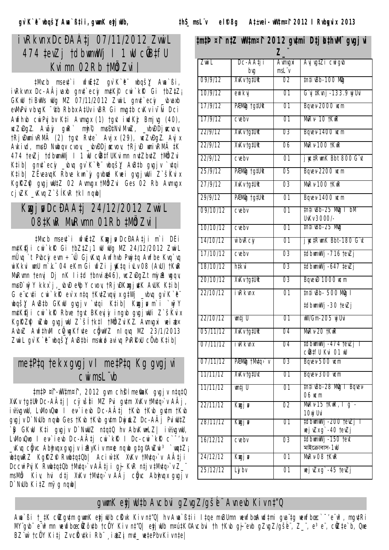### ivRkvnx DcĐA‡i 07/11/2012 ZwwiL 474 tevZj tdbwnwWj | 1 wU cOBtfU Kvimn 02Rb tMÖZvil

tMvcb msert`i wfijEtZ qv`K`e" wbgš} Awa`ßi, ivRkvnx Dc-AÂjvaxb gn¢`ecy m¢K¶ cwi`kk Gi †bZ‡Z<sub>i</sub> GKIU tiBIWs INg MZ 07/11/2012 Zwil gnut ecy \_vbvaxb ewWhPvivbvgK ~utb Rbbx AtUvivBR Gi mvgtb cvKviv~Wi Dci Awfhwb cwiPvjbv K‡i Awnwgx (1) tgvt iwdKż Bmjwg (40), wcZwDgZ. Avãjy gwR` mtg©, mwsЇNvlMwZ, \_vbwDDjwcvov, tRjuĐumivRMÄ (2) tgvt Rvte` Avjx (29), wcZvĐgZ. Avjx Avkivd, mvsĐ Nwbqv cvov, vbvĐDjøcvov, tRjvĐ wnivRMÄ tK 474 tevZj tdbwmwWj I 1 wU c@dtfUKvimn nutZbutZ tM@dZvi Ktib| gnut`ecy \_wbuq gv`K`e wbqš}{ AwBtb gugjv `utqi K‡ib| ZËveavqK Rbve kwn`jy gvbnd Kwei gvgjwUi Z`šKvix KgRZPJ quqjwUtZ 02 Aumuqx tM&Zvi Ges 02 Rb Aumuqx  $c$ j vZK \_vKvq Z`šĺKvR tkl ngwb|

#### Kwzj w DcĐAÇj 24/12/2012 Zwwi L O8tKWR MURVmn O1Rb #MÖlZVi |

‡Mvcb mse¢`i wfwˇZ Kwzjø DcĐA‡ji m`i DËi mutK!ji cwi`k@ Gi tbZtZ; 1 wU wUq MZ 24/12/2012 ZwiL mÜvg`t Pvbciyevm ÷ vÛ GjvKvg Awfhvb Pwj‡g Awfbe Kvg`vg wiKkvi wnU m`k¨04 eKm Gi wfZi jwK‡q ivLv 08 (AvU) †KwR MuRumn tenuj Dj nK litd tbnvia(46), wcZuDgZt miyaR wgqv, musĐ`wyY kkx`j wwD etpY cvov, tRjwDKxgjutK AWK Ktibl G evcuti cui kR ev x ntq tKutZvquj x qtWj \_vbuq qv K e wbqšį AwBtb GKwU gvgjv `vtqi Ktib| Kwgju m`i `wyY mutK!ji cwi`kR Rbve tgvt BKeyjy ingvb gvgjwUi Z`šKvix KgRZP WZWb qvgjwU Z`šÍtktl tMålZviKZ. Avmygxi weiatx AvbxZ AwfthM cû\_wgKfute cĝwYZ nlqvq MZ 23/1/2013 Zwil qv`K`è wbqš)! AvBtbi mswkó avivq PvRRxU cůvb Ktibl

#### metPtq tekx gvgj v I metPtq Kg gvgj vi Cwi msL vb

tmtޤf-Wltm¤f, 2012 gwn ch§ me�aK gvgjv ntqtQ XvKv tg‡Uł Dc-A‡j | cÿvš‡i MZ Pvi g¢m XvKv tM¢q`v AÂj, iv/wgwU, LwNovQuo I en`ieub Dc-A‡j †Kub †Kub gu‡m †Kub gıgjı D`NıUb ngıb Ges †Kıb †Kıb gıtm DıyimLZ Dc-AÂj Pıi ılU‡Z `@ GKW K‡i qvqjv D`NwUZ n‡q‡Q hv AbvKw•LZ| iv½vqvwU, LuMovQuo I ev`ievb Dc-A‡j cui`k $R$  I Dc-cui`k $R$  c`<sup>-</sup>'bv \_vKvq cğvc Abtwqx qvqjv iaRyKiv m¤@ nqwb qtq©AwZwi<sup>3</sup>`wqtZj wbțgwRZ KgRZP RvwbțgtOb| Aciw`țK XvKv †Mvțo>v AÂțji DccwiPvj K RvubtqtQb †Mvtq>`v AÂtj i gj- KvR ntjv tMvtq>`v Z\_` msMbi Kiv, hvi d‡j XvKv †Mv‡qo`v AÂj cônc Abtmqx qvqjv  $D$  NWb  $K$ *i*  $\sharp Z$  myg nqub/

#### tmtޤf n‡Z Wltm¤f 2012 gutmi D‡j LthWi gugjvi

| Zwi L           | Dc-AA‡j i<br>bvg   | Avmvgxi<br>$msL\ddot{v}$ | Avjvg‡Zi cwigwb                              |  |  |  |  |  |  |  |
|-----------------|--------------------|--------------------------|----------------------------------------------|--|--|--|--|--|--|--|
| 09/9/12         | XvKv †g‡Uît        | 02                       | tn‡i vBb-100 Mig                             |  |  |  |  |  |  |  |
| 10/9/12         | ewi kvj            | 01                       | G¨vj ‡Kvnj -133.9 vij Uvi                    |  |  |  |  |  |  |  |
| 17/9/12         | PÆMMg†g‡Uitt       | 01                       | Bqvev-2000 wcm                               |  |  |  |  |  |  |  |
| 17/9/12         | crebr              | 01                       | MuRv- 10 †KwR                                |  |  |  |  |  |  |  |
| 22/9/12         | XvKv tg‡Uitt       | 03                       | <b>Bavev-1400 wcm</b>                        |  |  |  |  |  |  |  |
| 22/9/12         | <b>XvKv tg#Uit</b> | 06                       | Murv-100 tKwR                                |  |  |  |  |  |  |  |
| 22/9/12         | $c$ rebr           | 01                       | j nc‡RwnK Bbt 800 Gïn                        |  |  |  |  |  |  |  |
| 25/9/12         | PÆMÖG tg#Uitt      | 05                       | Bqvev-2200 ucm                               |  |  |  |  |  |  |  |
| 27/9/12         | <b>XvKv tgtUit</b> | 03                       | Murv-100 tKwR                                |  |  |  |  |  |  |  |
| 29/9/12         | PÆMÖG tg#Uitt      | 01                       | Bqvev-1400 ucm                               |  |  |  |  |  |  |  |
| 09/10/12        | crebr              | 01                       | tn‡ivBb-25 MQg I bM`<br>UvKv 3000/-          |  |  |  |  |  |  |  |
| 10/10/12        | cvebv              | 01                       | tn‡iwBb-25 MWg                               |  |  |  |  |  |  |  |
| <i>14/10/12</i> | w`bvRciy           | 01                       | <b>j nc</b> ‡RwnK Bbt-180 Gïn                |  |  |  |  |  |  |  |
| 17/10/12        | crebr              | 03                       | tdbwmwWj -716 tevZj                          |  |  |  |  |  |  |  |
| 18/10/12        | htkvi              | 03                       | ‡dbirniWj -647 ‡evZj                         |  |  |  |  |  |  |  |
| 20/10/12        | <b>XvKv tg#Uit</b> | 03                       | BqvevĐ 1000 wcm                              |  |  |  |  |  |  |  |
| 22/10/12        | <i>i</i> vRkvnx    | 01                       | tn‡i vBb- 500 Mig T                          |  |  |  |  |  |  |  |
|                 |                    |                          | #dbwmwWj -30 tevZj                           |  |  |  |  |  |  |  |
| 22/10/12        | wm‡j U             | 01                       | wW/Gm-205 wj Uvi                             |  |  |  |  |  |  |  |
| <i>05/11/12</i> | XvKv tg‡Uit        | 04                       | MuRv-20 †KwR                                 |  |  |  |  |  |  |  |
| <i>07/11/12</i> | i vRkvnx           | 04                       | ‡dbimiWj -474 †evZj T<br>ciB‡fU Kvi 01 wU    |  |  |  |  |  |  |  |
| <i>07/11/12</i> | PÆMila †Myta>`v    | 03                       | Bqvev-500 wcm                                |  |  |  |  |  |  |  |
| 11/11/12        | XvKv †g‡Uvt        | 01                       | Bavev-300 wcm                                |  |  |  |  |  |  |  |
| 11/11/12        | wm‡j U             | 01                       | tn‡i vBb-28 MWg   Bqvev-<br>06 ист           |  |  |  |  |  |  |  |
| 22/11/12        | Kugj n             | 02                       | MuRv-15 †KwR, 1 q`-<br>10wj Uvi              |  |  |  |  |  |  |  |
| 28/11/12        | Kugj n             | 01                       | ‡dbwmwWj -200 †ev∠j T<br>wej vZx g`-40 tevZj |  |  |  |  |  |  |  |
| 16/12/12        | crebr              | 03                       | ‡dbwmwWj -150 †evt<br>মাইক্রোবাস-11/         |  |  |  |  |  |  |  |
| 24/12/12        | Kugj v             | 01                       | MURV-08 tKWR                                 |  |  |  |  |  |  |  |
| 25/12/12        | Ljybv              | 01                       | wej vZx g`-45 tevZj                          |  |  |  |  |  |  |  |

#### gwmK etj wUtb Avcbvi gZvgZ/gše Avnevb Kivnt"Q

Awa`ßi †\_‡K ciZgutm gwmK etjwUb ciKvk Kiv nț"Q| hv Awa`߇ii l‡qe mvBUmn wewfbœAwd‡mi gvaïţg wewfbœc`~eïw3, mgutRi MYgub" e"w3mn wewfbœc@Zôutb tc@Y Kiv nt"Q| etjwUb m¤útK©Avcbvi th tKvb qi evb qZvqZ/qše", Z\_", e3e", c@Zte`b, Qwe BZ"w`tcÜYKitj ZvcKutki Rb" ,iatZji mut\_wetePbvKivnte|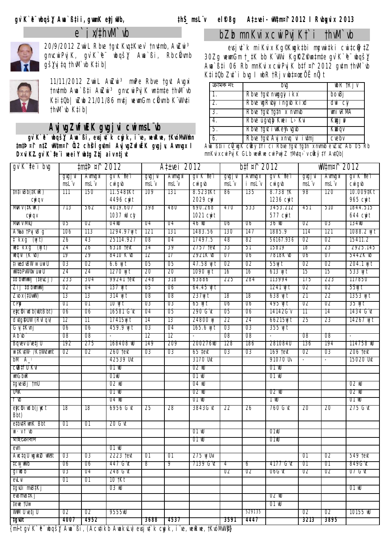



*20/9/2012 ZvwiL Rbve †gvt Kvq‡Kvev` †nv‡mb, AwZwi³ gnvcwiPvjK, gv`K`ªe¨ wbqš¿Y Awa`ßi, RbcÖkvmb gš¿Yvj‡q †hvM`vb K‡ib|*



*11/11/2012 ZvwiL AwZwi³ mwPe Rbve †gvt Avgxi †nv‡mb Awa`߇i AwZwi³ gnvcwiPvjK wn‡m‡e †hvM`vb K‡i‡Qb| wZwb 21/01/86 mv‡j wewmGm cÖkvmb K¨vWv‡i †hvM`vb K‡ib|*

#### *AvjvgZwfwËK gvgjvi cwimsL¨vb*

 *gv`K`ªe¨ wbqš¿Y Awa`ßi, evsjv‡`k cywjk, i¨ve, wewRwe, †KvóMvW©mn ‡m‡Þ¤^i n‡Z wW‡m¤^i Õ12 ch©šÍ gv‡mi AvjvgZwfwËK gvgjv, Avmvgx I D×viK…Z gv`K`ª‡e¨i weeiY wb‡g Zz‡j aiv n‡jvt*

#### *bZzb mnKvix cwiPvjK†`i †hvM`vb*

*evsjv‡`k miKvix Kg© Kwgk‡bi mycvwi‡ki cwi‡cÖwÿ‡Z 30Zg wewmGm †\_‡K bb K¨vWvi Kg©KZ©v wn‡m‡e gv`K`ªe¨ wbqš¿Y Awa`߇i 06 Rb mnKvix cwiPvjK b‡f¤^i 2012 gv‡m †hvM`vb K‡i‡Qb Zv‡`i bvg I wbR †Rjv wb‡¤œ cÖ`Ë nÕjt*

| ক্ৰামক নং        | bra                          | WOR TRJ V     |
|------------------|------------------------------|---------------|
| $\mathcal{I}$    | Rbve tgvt nwggy i kx         | bovBj         |
| $\overline{z}$   | Rbie igRiby i ngib ki id     | dwi cy        |
| 3.               | Rbve tgvt tg‡n`x nvmvb       | wmivRMA       |
| 4.               | Rbve ûgvalg Kwei L`Kvi       | <b>Kugj</b> p |
| $\overline{b}$ . | Rbve tgvt i wKe¥avgvb        | Kwoqv         |
| $\overline{6}$ . | Rbve tavt Avj x nva vi ivtmj | crebr         |

*Awa`߇ii cÖv\_wgK cÖwkÿ‡Yi ci Rbve †gvt †g‡n`x nvmvb e¨vZxZ Ab¨ 05 Rb mnKvix cwiPvjK GLb wewRwe cwiPvwjZ †Mv‡q›`v cÖwkÿ‡Y Av‡Qb|*

| gr`K`‡e¨i big                                                                                                           |         | #m‡Þ¤↑ 2012    |                                           |         | A‡±vei 2012 |                                           |         | b‡f¤î 2012 |                                        |                          | wW‡m¤ <b>î</b> 2012      |                                           |
|-------------------------------------------------------------------------------------------------------------------------|---------|----------------|-------------------------------------------|---------|-------------|-------------------------------------------|---------|------------|----------------------------------------|--------------------------|--------------------------|-------------------------------------------|
|                                                                                                                         | gvgj vi | <b>Avmvgxi</b> | gv K tei                                  | gvgj vi | Avmvgxi     | gv K tei                                  | gvgj vi | Avmvgx     | gv K tei                               | gvgj vi                  | <b>Avmvgxi</b>           | gv K tei                                  |
|                                                                                                                         | msL v   | $msL\ddot{v}$  | $CW$ <i>i</i> $g$ <sub><i>w</i></sub> $b$ | msL v   | msL "v      | $CW$ <i>i</i> $g$ <sub><i>w</i></sub> $b$ | msL v   | i msL v    | $CW$ <i>i</i> $g$ <sub><i>ib</i></sub> | msL v                    | $msL\ddot{v}$            | $CW$ <i>i</i> $g$ <sub><i>v</i></sub> $b$ |
| #n‡ivBb(‡KwR)                                                                                                           | 777     | 150            | 11.548‡K t                                | 109     | 737         | 8.523‡K1                                  | 86      | 735        | 8. /38 †K                              | 98                       | 120                      | 10.009‡Kt                                 |
| <b>ayi</b> qv                                                                                                           |         |                | 4496 cm/t                                 |         |             | 2029 ay                                   |         |            | 1236 cm/t                              |                          |                          | 965 cwit                                  |
| Murv (‡KwR)                                                                                                             | 713     | 562            | 4019.607                                  | 398     | 480         | 690.268                                   | 470     | 533        | 3453.212                               | 451                      | 510                      | 1844.515                                  |
| <b>avigy</b>                                                                                                            |         |                | 1037 WU cty                               |         |             | 1021 cm/t                                 |         |            | 577 cm/t                               |                          |                          | 644 cmjt                                  |
| Murv MvQ                                                                                                                | U5      | 02             | O4WU                                      | 04      | Ο4          | 46 W                                      | U6      | U6         | 36 W                                   | 02                       | U3                       | 734W                                      |
| A‰a tPvj vB g                                                                                                           | 106     | 113            | 1294.97wj t                               | 121     | 131         | 1483.56                                   | 130     | 147        | 1885.9                                 | 114                      | 121                      | 1088.2 wjt                                |
| t`kx g` (wj t)                                                                                                          | 26      | 43             | 25114.927                                 | 08      | 04          | 17497.5                                   | 48      | 82         | 56167.936                              | 02                       | 02                       | 15411.2                                   |
| wet krg (nyt)                                                                                                           | 24      | 26             | 6318 Tevt                                 | 34      | 39          | 2757 text                                 | 33      | 51         | 15819                                  | 18                       | 23                       | 2925.145                                  |
| weqvi (K vb)                                                                                                            | 79      | 29             | 8410 K WD                                 | 72      | 77          | 2921K VD                                  | 07      | U6         | /818K WD                               | U6                       | 07                       | 5442K WD                                  |
| ‡i⊯dvBW w~úwiU                                                                                                          | 03      | 02             | $6.6$ Wj 1                                | 05      | 05          | 47.58 wj t                                | 02      | 02         | 55wj t                                 | 02                       | 02                       | 204.1 wjt                                 |
| wW‡bPvW�v~úwi U                                                                                                         | 24      | 24             | 1270 wj t                                 | 20      | 20          | 1090 wj t                                 | 16      | 16         | 613 wjt                                | 15                       | 15                       | 533 wj t                                  |
| tdbwmwWj (tevZj)                                                                                                        | 233     | 304            | 99241 text                                | 248     | 318         | 63886                                     | 225     | 284        | 113994                                 | 1/5                      | 223                      | 117850                                    |
| Zij ‡dbwmwWj                                                                                                            | 02      | 04             | 137 WJ t                                  | U5      | U6          | 64.45 WJ                                  |         |            | 7247 ny t                              | 02                       | 02                       | 55WJ t                                    |
| Zvox (‡UwwV)                                                                                                            | 13      | 13             | 314 wjt                                   | 08      | 08          | 237wj t                                   | 18      | 18         | 638 wjt                                | 21                       | 22                       | 1353 wjit                                 |
| сPM                                                                                                                     | ŪΤ      | ŪΤ             | 10 W t                                    | U3      | -03         | 65 W T                                    | Ū6      | Ũ6         | 495 W t                                | Ū2                       | 02                       | 35 W T                                    |
| eycidindb(nUtBbt)                                                                                                       | Ū6      | Ū6             | 16581 G It                                | 04      | -05         | 290 G II                                  | 05      | Ũ6         | 14142G V                               | 77                       | 74                       | 1434 G N                                  |
| dvtg\$UW (RvI qv)                                                                                                       | 12      | 11             | 17415wj t                                 | 14      | 13          | 24800 wj                                  | 22      | 24         | 66215wj t                              | 25                       | 23                       | 14267 wjt                                 |
| Gʻij‡Kinj                                                                                                               | 06      | 06             | 459.9 wj l                                | 03      | 04          | 165.6 wj l                                | 03      | 03         | 355 wjt                                |                          |                          |                                           |
| Ab vb                                                                                                                   | U8      | U8             |                                           | 12      | 72          |                                           | U8      | U8         |                                        | U8                       | U8                       |                                           |
| Bqvev Uvetj U                                                                                                           | 192     | 275            | 168408 W                                  | 149     | 209         | 2002/6W                                   | 128     | 186        | 281084U                                | 136                      | 194                      | 774758 WU                                 |
| wi‡Kv‡W·/K‡Wvtwmt                                                                                                       | 02      | 02             | 260 tevt                                  | 03      | 03          | 65 ‡evt                                   | 03      | 03         | 169 tevt                               | 02                       | 03                       | 206 tevt                                  |
| bM`A_                                                                                                                   |         |                | 42539 Uvt                                 |         |             | 3170 Uvt                                  |         |            | 91070 U                                | $\overline{\phantom{a}}$ | $\overline{\phantom{a}}$ | 15020 Urt                                 |
| CUBITU KVI                                                                                                              |         |                | OT NU                                     |         |             | 02 NU                                     |         |            | OT WU                                  |                          |                          |                                           |
| wmGbwR                                                                                                                  |         |                | O1wU                                      |         |             | 01 NU                                     |         |            | 01 NU                                  |                          |                          |                                           |
| ‡gvevBj †mU                                                                                                             |         |                | 02 WU                                     |         |             | 04 WU                                     |         |            |                                        |                          |                          | 02 W                                      |
| UVK                                                                                                                     |         |                | $\overline{OT}$ NU $\overline{U}$         |         |             | <b>02 NU</b>                              |         |            | <b>02 NU</b>                           |                          |                          | 02 W                                      |
| T VD                                                                                                                    |         |                | 04 NU                                     |         |             | $\overline{OT}$ M $\overline{U}$          |         |            | TWU                                    |                          |                          | $\overline{O}$ T MU $\overline{O}$        |
| etcibindb(jngt<br>Bbt)                                                                                                  | 18      | 18             | 6956 Gʻit                                 | 25      | 28          | 3843G ït                                  | 22      | 26         | 760 Gʻit                               | 20                       | 20                       | 275 Gʻit                                  |
| etbrtRwmK Bbt                                                                                                           | 01      | 01             | 20 G vt                                   |         |             |                                           |         |            |                                        |                          |                          |                                           |
| $\mathsf{W} \cdot \mathsf{V} \mathsf{F} \mathsf{W}$                                                                     |         |                |                                           |         |             | 01 NU                                     |         |            | O1nU                                   |                          |                          |                                           |
| মাহক্ৰোবাস                                                                                                              |         |                |                                           |         |             | OT NU                                     |         |            | UTNU                                   |                          |                          |                                           |
| evm                                                                                                                     |         |                | 01 NU                                     |         |             |                                           |         |            |                                        |                          |                          |                                           |
| AuctgU ugukiZ wWst                                                                                                      | 03      | 03             | 2223 tevt                                 | -01     | 01          | 275 wj Uvi                                |         |            |                                        | 01                       | 02                       | 549 tevt                                  |
| ‡CW_WWD                                                                                                                 | U6      | U6             | 447 G VI                                  | 8       | ሃ           | 7139 G vt                                 | 4       | 6          | 4177 G VI                              | UT.                      | UT.                      | 849G VI                                   |
| giwdb                                                                                                                   | UЗ      | 04             | 248 G II                                  |         |             |                                           | U2      | 02         | O6G Vt                                 | -02                      | UZ                       | 07 G VI                                   |
| evLvi                                                                                                                   | 01      | 01             | 10 †K†                                    |         |             |                                           |         |            |                                        |                          |                          |                                           |
| ‡gwUi mwB‡Kj                                                                                                            |         |                | 03 W                                      |         |             |                                           |         |            |                                        |                          |                          | 01 NU                                     |
| evBmvB‡Kj                                                                                                               |         |                |                                           |         |             |                                           |         |            | 02 W                                   |                          |                          |                                           |
| tewe tUm                                                                                                                |         |                |                                           |         |             |                                           |         |            | 01 NU                                  |                          |                          |                                           |
| WM Uvețj U                                                                                                              | 02      | 02             | 9555W                                     |         |             |                                           |         | 529135     |                                        | 02                       | 02                       | 10155 wu                                  |
| IgWl                                                                                                                    | 4007    | 4952           |                                           | 3688    | 4537        |                                           | 3591    | 4447       |                                        | 3213                     | 3895                     |                                           |
| $Im\hat{I}$ t qu'V b " wha $\check{\epsilon}V$ A un 'Ri (A cutivb A un vul u) quoi ut 'v quivb i "vo un un tvollulument |         |                |                                           |         |             |                                           |         |            |                                        |                          |                          |                                           |

*m {m~Ît gv`K`ªe¨ wbqš¿Y Awa`ßi, (Acv‡ikb AwakvLv) evsjv‡`k cywjk, i¨ve, wewRwe, †KvóMvW©)}*